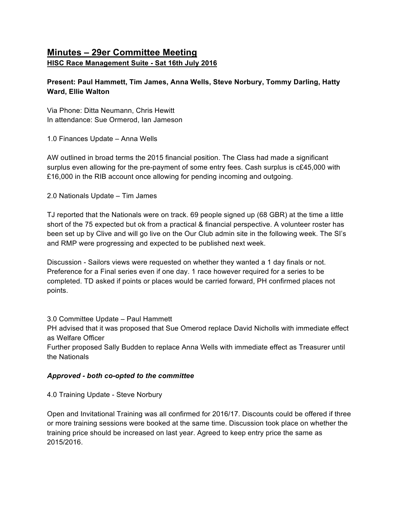# **Minutes – 29er Committee Meeting HISC Race Management Suite - Sat 16th July 2016**

## **Present: Paul Hammett, Tim James, Anna Wells, Steve Norbury, Tommy Darling, Hatty Ward, Ellie Walton**

Via Phone: Ditta Neumann, Chris Hewitt In attendance: Sue Ormerod, Ian Jameson

1.0 Finances Update – Anna Wells

AW outlined in broad terms the 2015 financial position. The Class had made a significant surplus even allowing for the pre-payment of some entry fees. Cash surplus is c£45,000 with £16,000 in the RIB account once allowing for pending incoming and outgoing.

2.0 Nationals Update – Tim James

TJ reported that the Nationals were on track. 69 people signed up (68 GBR) at the time a little short of the 75 expected but ok from a practical & financial perspective. A volunteer roster has been set up by Clive and will go live on the Our Club admin site in the following week. The SI's and RMP were progressing and expected to be published next week.

Discussion - Sailors views were requested on whether they wanted a 1 day finals or not. Preference for a Final series even if one day. 1 race however required for a series to be completed. TD asked if points or places would be carried forward, PH confirmed places not points.

3.0 Committee Update – Paul Hammett

PH advised that it was proposed that Sue Omerod replace David Nicholls with immediate effect as Welfare Officer

Further proposed Sally Budden to replace Anna Wells with immediate effect as Treasurer until the Nationals

### *Approved - both co-opted to the committee*

4.0 Training Update - Steve Norbury

Open and Invitational Training was all confirmed for 2016/17. Discounts could be offered if three or more training sessions were booked at the same time. Discussion took place on whether the training price should be increased on last year. Agreed to keep entry price the same as 2015/2016.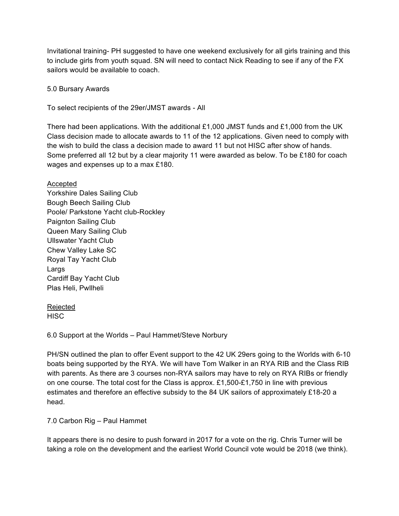Invitational training- PH suggested to have one weekend exclusively for all girls training and this to include girls from youth squad. SN will need to contact Nick Reading to see if any of the FX sailors would be available to coach.

#### 5.0 Bursary Awards

To select recipients of the 29er/JMST awards - All

There had been applications. With the additional £1,000 JMST funds and £1,000 from the UK Class decision made to allocate awards to 11 of the 12 applications. Given need to comply with the wish to build the class a decision made to award 11 but not HISC after show of hands. Some preferred all 12 but by a clear majority 11 were awarded as below. To be £180 for coach wages and expenses up to a max £180.

#### Accepted

Yorkshire Dales Sailing Club Bough Beech Sailing Club Poole/ Parkstone Yacht club-Rockley Paignton Sailing Club Queen Mary Sailing Club Ullswater Yacht Club Chew Valley Lake SC Royal Tay Yacht Club Largs Cardiff Bay Yacht Club Plas Heli, Pwllheli

# Rejected

**HISC** 

6.0 Support at the Worlds – Paul Hammet/Steve Norbury

PH/SN outlined the plan to offer Event support to the 42 UK 29ers going to the Worlds with 6-10 boats being supported by the RYA. We will have Tom Walker in an RYA RIB and the Class RIB with parents. As there are 3 courses non-RYA sailors may have to rely on RYA RIBs or friendly on one course. The total cost for the Class is approx. £1,500-£1,750 in line with previous estimates and therefore an effective subsidy to the 84 UK sailors of approximately £18-20 a head.

7.0 Carbon Rig – Paul Hammet

It appears there is no desire to push forward in 2017 for a vote on the rig. Chris Turner will be taking a role on the development and the earliest World Council vote would be 2018 (we think).